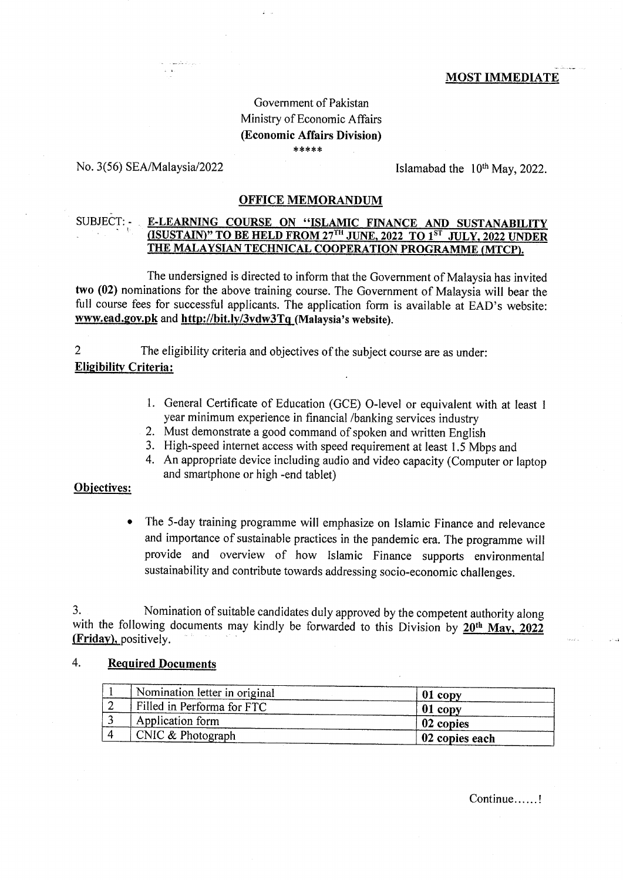## **MOST IMMEDIATE**

# Government of Pakistan Ministry of Economic Affairs (Economic Affairs Division) \*\*\*\*\*

## No. 3(56) SEA/Malaysia/2022

Islamabad the 10<sup>th</sup> May, 2022.

## **OFFICE MEMORANDUM**

# E-LEARNING COURSE ON "ISLAMIC FINANCE AND SUSTANABILITY (ISUSTAIN)" TO BE HELD FROM 27<sup>TH</sup> JUNE, 2022 TO 1<sup>ST</sup> JULY, 2022 UNDER SUBJECT: -THE MALAYSIAN TECHNICAL COOPERATION PROGRAMME (MTCP).

The undersigned is directed to inform that the Government of Malaysia has invited two (02) nominations for the above training course. The Government of Malaysia will bear the full course fees for successful applicants. The application form is available at EAD's website: www.ead.gov.pk and http://bit.ly/3vdw3Tq (Malaysia's website).

 $\overline{2}$ The eligibility criteria and objectives of the subject course are as under:

# **Eligibility Criteria:**

- 1. General Certificate of Education (GCE) O-level or equivalent with at least 1 year minimum experience in financial /banking services industry
- 2. Must demonstrate a good command of spoken and written English
- 3. High-speed internet access with speed requirement at least 1.5 Mbps and
- 4. An appropriate device including audio and video capacity (Computer or laptop and smartphone or high -end tablet)

## Objectives:

The 5-day training programme will emphasize on Islamic Finance and relevance  $\bullet$ and importance of sustainable practices in the pandemic era. The programme will provide and overview of how Islamic Finance supports environmental sustainability and contribute towards addressing socio-economic challenges.

Nomination of suitable candidates duly approved by the competent authority along 3. with the following documents may kindly be forwarded to this Division by 20<sup>th</sup> May, 2022 (Friday), positively.

#### 4. **Required Documents**

| Nomination letter in original | $01$ copy      |
|-------------------------------|----------------|
| Filled in Performa for FTC    | $01$ copy      |
| Application form              | 02 copies      |
| CNIC $& Photograph$           | 02 copies each |

Continue......!